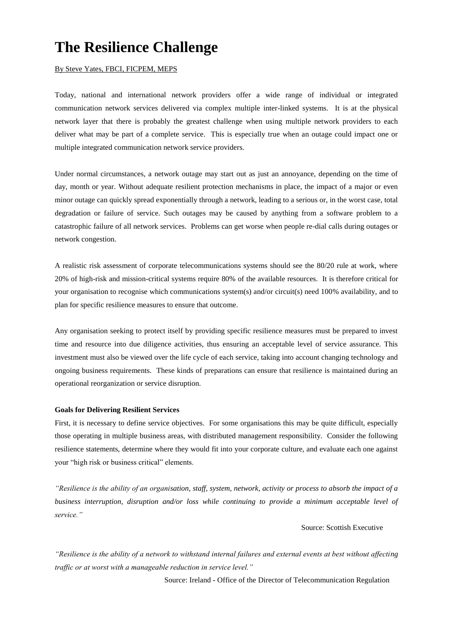# **The Resilience Challenge**

#### By Steve Yates, FBCI, FICPEM, MEPS

Today, national and international network providers offer a wide range of individual or integrated communication network services delivered via complex multiple inter-linked systems. It is at the physical network layer that there is probably the greatest challenge when using multiple network providers to each deliver what may be part of a complete service. This is especially true when an outage could impact one or multiple integrated communication network service providers.

Under normal circumstances, a network outage may start out as just an annoyance, depending on the time of day, month or year. Without adequate resilient protection mechanisms in place, the impact of a major or even minor outage can quickly spread exponentially through a network, leading to a serious or, in the worst case, total degradation or failure of service. Such outages may be caused by anything from a software problem to a catastrophic failure of all network services. Problems can get worse when people re-dial calls during outages or network congestion.

A realistic risk assessment of corporate telecommunications systems should see the 80/20 rule at work, where 20% of high-risk and mission-critical systems require 80% of the available resources. It is therefore critical for your organisation to recognise which communications system(s) and/or circuit(s) need 100% availability, and to plan for specific resilience measures to ensure that outcome.

Any organisation seeking to protect itself by providing specific resilience measures must be prepared to invest time and resource into due diligence activities, thus ensuring an acceptable level of service assurance. This investment must also be viewed over the life cycle of each service, taking into account changing technology and ongoing business requirements. These kinds of preparations can ensure that resilience is maintained during an operational reorganization or service disruption.

#### **Goals for Delivering Resilient Services**

First, it is necessary to define service objectives. For some organisations this may be quite difficult, especially those operating in multiple business areas, with distributed management responsibility. Consider the following resilience statements, determine where they would fit into your corporate culture, and evaluate each one against your "high risk or business critical" elements.

*"Resilience is the ability of an organisation, staff, system, network, activity or process to absorb the impact of a business interruption, disruption and/or loss while continuing to provide a minimum acceptable level of service."*

Source: Scottish Executive

*"Resilience is the ability of a network to withstand internal failures and external events at best without affecting traffic or at worst with a manageable reduction in service level."*

Source: Ireland - Office of the Director of Telecommunication Regulation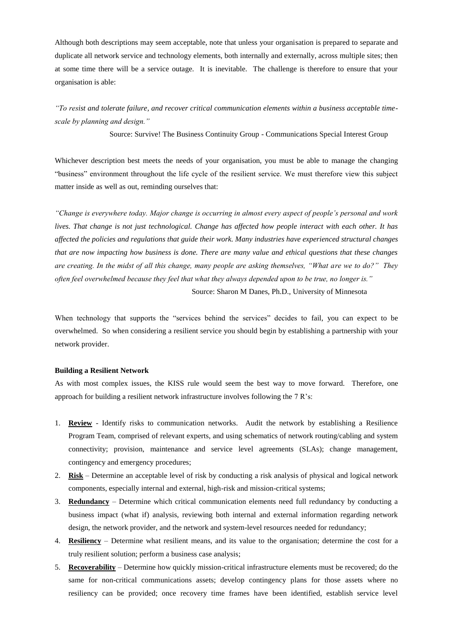Although both descriptions may seem acceptable, note that unless your organisation is prepared to separate and duplicate all network service and technology elements, both internally and externally, across multiple sites; then at some time there will be a service outage. It is inevitable. The challenge is therefore to ensure that your organisation is able:

*"To resist and tolerate failure, and recover critical communication elements within a business acceptable timescale by planning and design."*

Source: Survive! The Business Continuity Group - Communications Special Interest Group

Whichever description best meets the needs of your organisation, you must be able to manage the changing "business" environment throughout the life cycle of the resilient service. We must therefore view this subject matter inside as well as out, reminding ourselves that:

*"Change is everywhere today. Major change is occurring in almost every aspect of people's personal and work lives. That change is not just technological. Change has affected how people interact with each other. It has affected the policies and regulations that guide their work. Many industries have experienced structural changes that are now impacting how business is done. There are many value and ethical questions that these changes are creating. In the midst of all this change, many people are asking themselves, "What are we to do?" They often feel overwhelmed because they feel that what they always depended upon to be true, no longer is."* Source: Sharon M Danes, Ph.D., University of Minnesota

When technology that supports the "services behind the services" decides to fail, you can expect to be overwhelmed. So when considering a resilient service you should begin by establishing a partnership with your network provider.

### **Building a Resilient Network**

As with most complex issues, the KISS rule would seem the best way to move forward. Therefore, one approach for building a resilient network infrastructure involves following the 7 R's:

- 1. **Review** Identify risks to communication networks. Audit the network by establishing a Resilience Program Team, comprised of relevant experts, and using schematics of network routing/cabling and system connectivity; provision, maintenance and service level agreements (SLAs); change management, contingency and emergency procedures;
- 2. **Risk** Determine an acceptable level of risk by conducting a risk analysis of physical and logical network components, especially internal and external, high-risk and mission-critical systems;
- 3. **Redundancy** Determine which critical communication elements need full redundancy by conducting a business impact (what if) analysis, reviewing both internal and external information regarding network design, the network provider, and the network and system-level resources needed for redundancy;
- 4. **Resiliency** Determine what resilient means, and its value to the organisation; determine the cost for a truly resilient solution; perform a business case analysis;
- 5. **Recoverability** Determine how quickly mission-critical infrastructure elements must be recovered; do the same for non-critical communications assets; develop contingency plans for those assets where no resiliency can be provided; once recovery time frames have been identified, establish service level